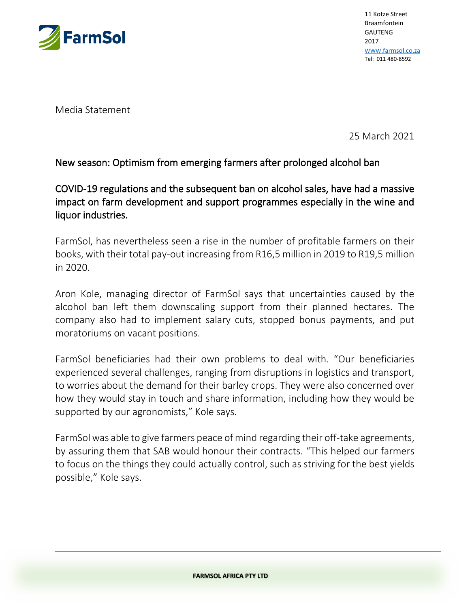

11 Kotze Street Braamfontein GAUTENG 2017 [WWW](http://www.farmsol.co.za/)[.farmsol.co.za](http://www.farmsol.co.za/) Tel: 011 480-8592

Media Statement

25 March 2021

## New season: Optimism from emerging farmers after prolonged alcohol ban

COVID-19 regulations and the subsequent ban on alcohol sales, have had a massive impact on farm development and support programmes especially in the wine and liquor industries.

FarmSol, has nevertheless seen a rise in the number of profitable farmers on their books, with their total pay-out increasing from R16,5 million in 2019 to R19,5 million in 2020.

Aron Kole, managing director of FarmSol says that uncertainties caused by the alcohol ban left them downscaling support from their planned hectares. The company also had to implement salary cuts, stopped bonus payments, and put moratoriums on vacant positions.

FarmSol beneficiaries had their own problems to deal with. "Our beneficiaries experienced several challenges, ranging from disruptions in logistics and transport, to worries about the demand for their barley crops. They were also concerned over how they would stay in touch and share information, including how they would be supported by our agronomists," Kole says.

FarmSol was able to give farmers peace of mind regarding their off-take agreements, by assuring them that SAB would honour their contracts. "This helped our farmers to focus on the things they could actually control, such as striving for the best yields possible," Kole says.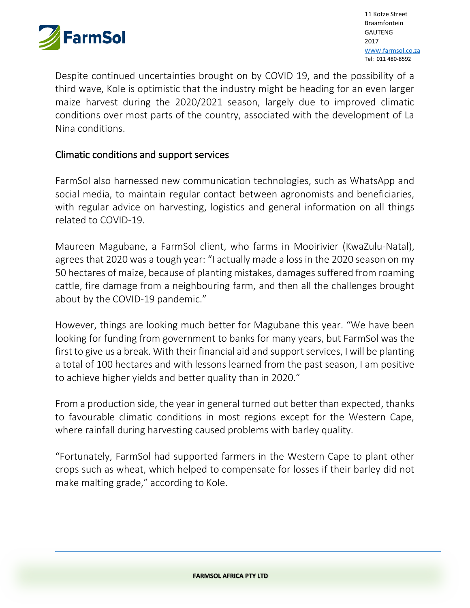

11 Kotze Street Braamfontein GAUTENG 2017 [WWW](http://www.farmsol.co.za/)[.farmsol.co.za](http://www.farmsol.co.za/) Tel: 011 480-8592

third wave, Kole is optimistic that the industry might be heading for an even larger Despite continued uncertainties brought on by COVID 19, and the possibility of a maize harvest during the 2020/2021 season, largely due to improved climatic conditions over most parts of the country, associated with the development of La Nina conditions.

## Climatic conditions and support services

FarmSol also harnessed new communication technologies, such as WhatsApp and social media, to maintain regular contact between agronomists and beneficiaries, with regular advice on harvesting, logistics and general information on all things related to COVID-19.

Maureen Magubane, a FarmSol client, who farms in Mooirivier (KwaZulu-Natal), agrees that 2020 was a tough year: "I actually made a loss in the 2020 season on my 50 hectares of maize, because of planting mistakes, damages suffered from roaming cattle, fire damage from a neighbouring farm, and then all the challenges brought about by the COVID-19 pandemic."

However, things are looking much better for Magubane this year. "We have been looking for funding from government to banks for many years, but FarmSol was the first to give us a break. With their financial aid and support services, I will be planting a total of 100 hectares and with lessons learned from the past season, I am positive to achieve higher yields and better quality than in 2020."

From a production side, the year in general turned out better than expected, thanks to favourable climatic conditions in most regions except for the Western Cape, where rainfall during harvesting caused problems with barley quality.

"Fortunately, FarmSol had supported farmers in the Western Cape to plant other crops such as wheat, which helped to compensate for losses if their barley did not make malting grade," according to Kole.